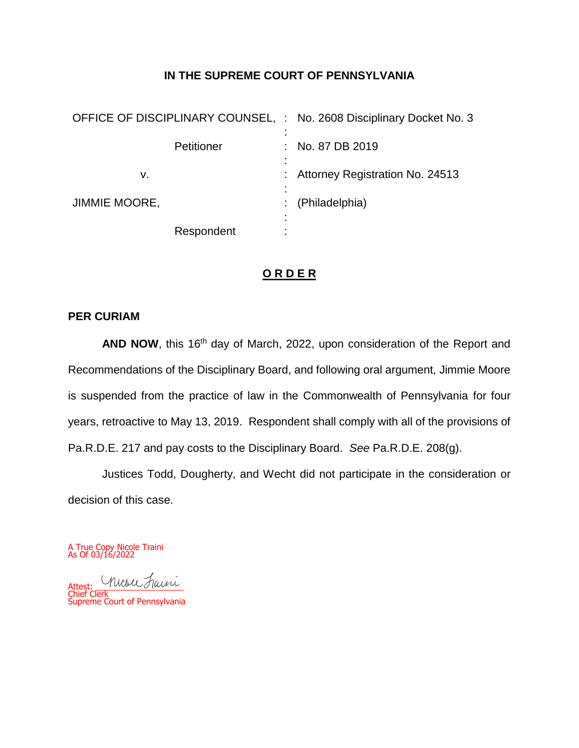# **IN THE SUPREME COURT OF PENNSYLVANIA**

| OFFICE OF DISCIPLINARY COUNSEL, : No. 2608 Disciplinary Docket No. 3 |                                   |
|----------------------------------------------------------------------|-----------------------------------|
| Petitioner                                                           | : No. 87 DB 2019                  |
| v.                                                                   | : Attorney Registration No. 24513 |
| <b>JIMMIE MOORE,</b>                                                 | (Philadelphia)                    |
| Respondent                                                           |                                   |

# **O R D E R**

### **PER CURIAM**

AND NOW, this 16<sup>th</sup> day of March, 2022, upon consideration of the Report and Recommendations of the Disciplinary Board, and following oral argument, Jimmie Moore is suspended from the practice of law in the Commonwealth of Pennsylvania for four years, retroactive to May 13, 2019. Respondent shall comply with all of the provisions of Pa.R.D.E. 217 and pay costs to the Disciplinary Board. *See* Pa.R.D.E. 208(g).

Justices Todd, Dougherty, and Wecht did not participate in the consideration or decision of this case.

A True Copy Nicole Traini As Of 03/16/2022

Attest: Musu Faini Chief Clerk Supreme Court of Pennsylvania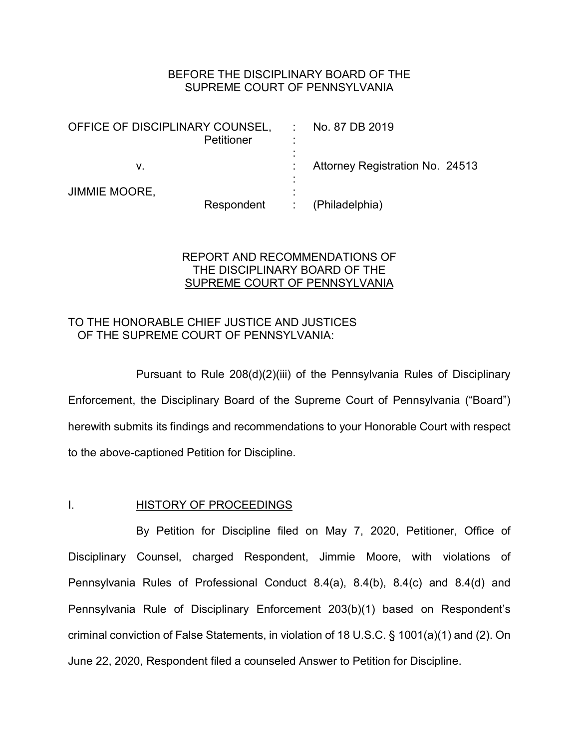## BEFORE THE DISCIPLINARY BOARD OF THE SUPREME COURT OF PENNSYLVANIA

| OFFICE OF DISCIPLINARY COUNSEL, | <b>Petitioner</b> | ٠           | No. 87 DB 2019                         |
|---------------------------------|-------------------|-------------|----------------------------------------|
|                                 |                   |             |                                        |
| V.                              |                   |             | <b>Attorney Registration No. 24513</b> |
|                                 |                   | ٠           |                                        |
| <b>JIMMIE MOORE,</b>            |                   |             |                                        |
|                                 | Respondent        | $\sim 1000$ | (Philadelphia)                         |

# REPORT AND RECOMMENDATIONS OF THE DISCIPLINARY BOARD OF THE SUPREME COURT OF PENNSYLVANIA

# TO THE HONORABLE CHIEF JUSTICE AND JUSTICES OF THE SUPREME COURT OF PENNSYLVANIA:

Pursuant to Rule 208(d)(2)(iii) of the Pennsylvania Rules of Disciplinary Enforcement, the Disciplinary Board of the Supreme Court of Pennsylvania ("Board") herewith submits its findings and recommendations to your Honorable Court with respect to the above-captioned Petition for Discipline.

# I. HISTORY OF PROCEEDINGS

By Petition for Discipline filed on May 7, 2020, Petitioner, Office of Disciplinary Counsel, charged Respondent, Jimmie Moore, with violations of Pennsylvania Rules of Professional Conduct 8.4(a), 8.4(b), 8.4(c) and 8.4(d) and Pennsylvania Rule of Disciplinary Enforcement 203(b)(1) based on Respondent's criminal conviction of False Statements, in violation of 18 U.S.C. § 1001(a)(1) and (2). On June 22, 2020, Respondent filed a counseled Answer to Petition for Discipline.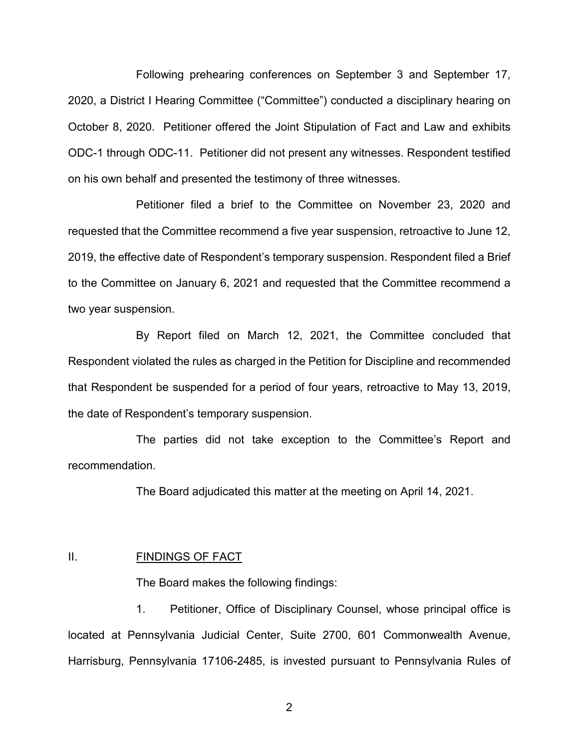Following prehearing conferences on September 3 and September 17, 2020, a District I Hearing Committee ("Committee") conducted a disciplinary hearing on October 8, 2020. Petitioner offered the Joint Stipulation of Fact and Law and exhibits ODC-1 through ODC-11. Petitioner did not present any witnesses. Respondent testified on his own behalf and presented the testimony of three witnesses.

Petitioner filed a brief to the Committee on November 23, 2020 and requested that the Committee recommend a five year suspension, retroactive to June 12, 2019, the effective date of Respondent's temporary suspension. Respondent filed a Brief to the Committee on January 6, 2021 and requested that the Committee recommend a two year suspension.

By Report filed on March 12, 2021, the Committee concluded that Respondent violated the rules as charged in the Petition for Discipline and recommended that Respondent be suspended for a period of four years, retroactive to May 13, 2019, the date of Respondent's temporary suspension.

The parties did not take exception to the Committee's Report and recommendation.

The Board adjudicated this matter at the meeting on April 14, 2021.

### II. FINDINGS OF FACT

The Board makes the following findings:

1. Petitioner, Office of Disciplinary Counsel, whose principal office is located at Pennsylvania Judicial Center, Suite 2700, 601 Commonwealth Avenue, Harrisburg, Pennsylvania 17106-2485, is invested pursuant to Pennsylvania Rules of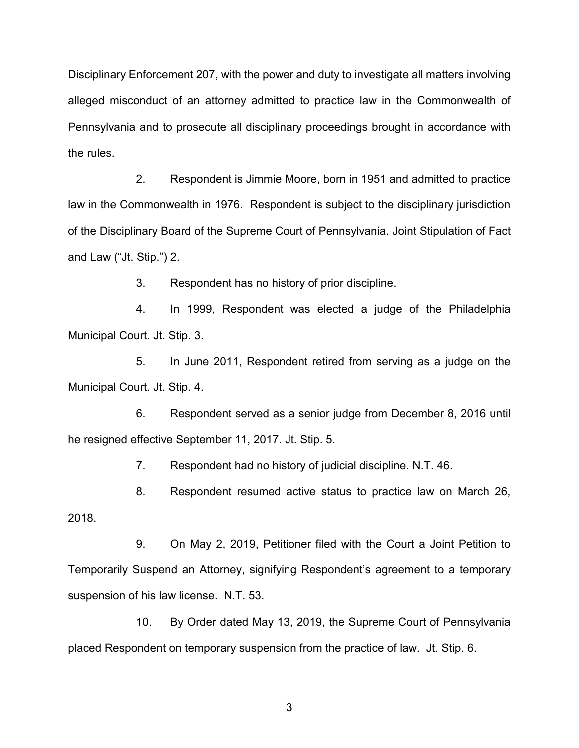Disciplinary Enforcement 207, with the power and duty to investigate all matters involving alleged misconduct of an attorney admitted to practice law in the Commonwealth of Pennsylvania and to prosecute all disciplinary proceedings brought in accordance with the rules.

2. Respondent is Jimmie Moore, born in 1951 and admitted to practice law in the Commonwealth in 1976. Respondent is subject to the disciplinary jurisdiction of the Disciplinary Board of the Supreme Court of Pennsylvania. Joint Stipulation of Fact and Law ("Jt. Stip.") 2.

3. Respondent has no history of prior discipline.

4. In 1999, Respondent was elected a judge of the Philadelphia Municipal Court. Jt. Stip. 3.

5. In June 2011, Respondent retired from serving as a judge on the Municipal Court. Jt. Stip. 4.

6. Respondent served as a senior judge from December 8, 2016 until he resigned effective September 11, 2017. Jt. Stip. 5.

7. Respondent had no history of judicial discipline. N.T. 46.

8. Respondent resumed active status to practice law on March 26, 2018.

9. On May 2, 2019, Petitioner filed with the Court a Joint Petition to Temporarily Suspend an Attorney, signifying Respondent's agreement to a temporary suspension of his law license. N.T. 53.

10. By Order dated May 13, 2019, the Supreme Court of Pennsylvania placed Respondent on temporary suspension from the practice of law. Jt. Stip. 6.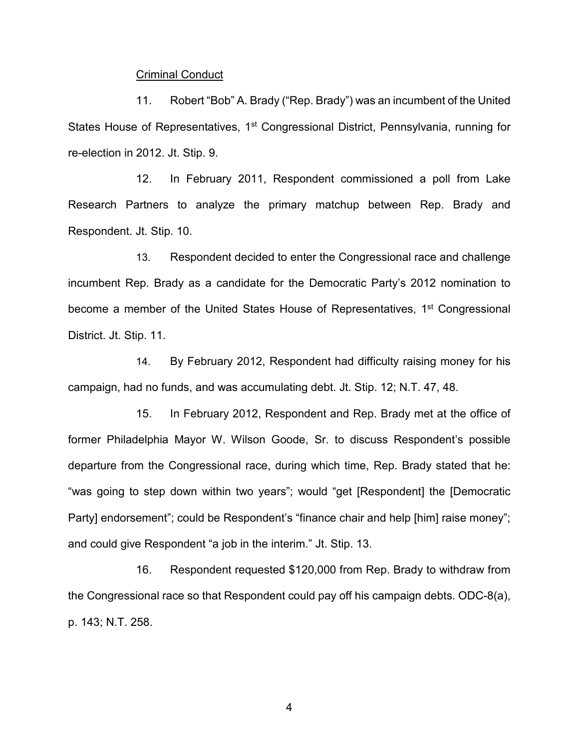#### Criminal Conduct

11. Robert "Bob" A. Brady ("Rep. Brady") was an incumbent of the United States House of Representatives, 1<sup>st</sup> Congressional District, Pennsylvania, running for re-election in 2012. Jt. Stip. 9.

12. In February 2011, Respondent commissioned a poll from Lake Research Partners to analyze the primary matchup between Rep. Brady and Respondent. Jt. Stip. 10.

13. Respondent decided to enter the Congressional race and challenge incumbent Rep. Brady as a candidate for the Democratic Party's 2012 nomination to become a member of the United States House of Representatives, 1<sup>st</sup> Congressional District. Jt. Stip. 11.

14. By February 2012, Respondent had difficulty raising money for his campaign, had no funds, and was accumulating debt. Jt. Stip. 12; N.T. 47, 48.

15. In February 2012, Respondent and Rep. Brady met at the office of former Philadelphia Mayor W. Wilson Goode, Sr. to discuss Respondent's possible departure from the Congressional race, during which time, Rep. Brady stated that he: "was going to step down within two years"; would "get [Respondent] the [Democratic Party] endorsement"; could be Respondent's "finance chair and help [him] raise money"; and could give Respondent "a job in the interim." Jt. Stip. 13.

16. Respondent requested \$120,000 from Rep. Brady to withdraw from the Congressional race so that Respondent could pay off his campaign debts. ODC-8(a), p. 143; N.T. 258.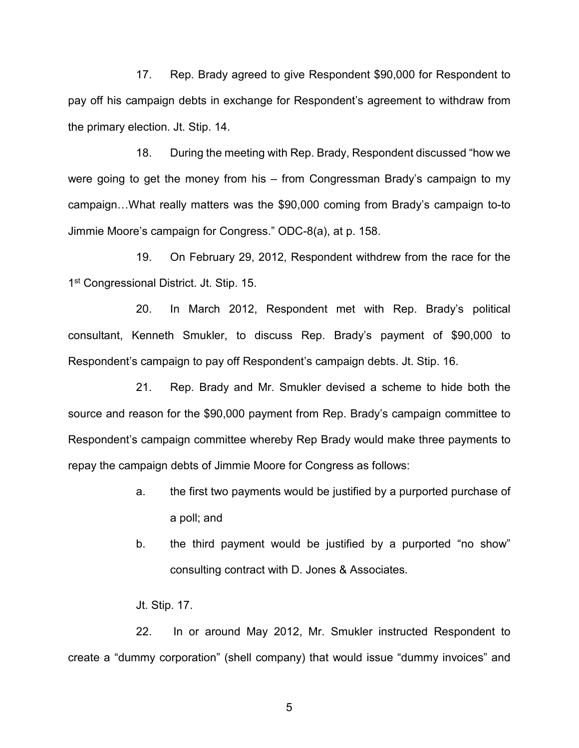17. Rep. Brady agreed to give Respondent \$90,000 for Respondent to pay off his campaign debts in exchange for Respondent's agreement to withdraw from the primary election. Jt. Stip. 14.

18. During the meeting with Rep. Brady, Respondent discussed "how we were going to get the money from his – from Congressman Brady's campaign to my campaign…What really matters was the \$90,000 coming from Brady's campaign to-to Jimmie Moore's campaign for Congress." ODC-8(a), at p. 158.

19. On February 29, 2012, Respondent withdrew from the race for the 1<sup>st</sup> Congressional District. Jt. Stip. 15.

20. In March 2012, Respondent met with Rep. Brady's political consultant, Kenneth Smukler, to discuss Rep. Brady's payment of \$90,000 to Respondent's campaign to pay off Respondent's campaign debts. Jt. Stip. 16.

21. Rep. Brady and Mr. Smukler devised a scheme to hide both the source and reason for the \$90,000 payment from Rep. Brady's campaign committee to Respondent's campaign committee whereby Rep Brady would make three payments to repay the campaign debts of Jimmie Moore for Congress as follows:

- a. the first two payments would be justified by a purported purchase of a poll; and
- b. the third payment would be justified by a purported "no show" consulting contract with D. Jones & Associates.
- Jt. Stip. 17.

22. In or around May 2012, Mr. Smukler instructed Respondent to create a "dummy corporation" (shell company) that would issue "dummy invoices" and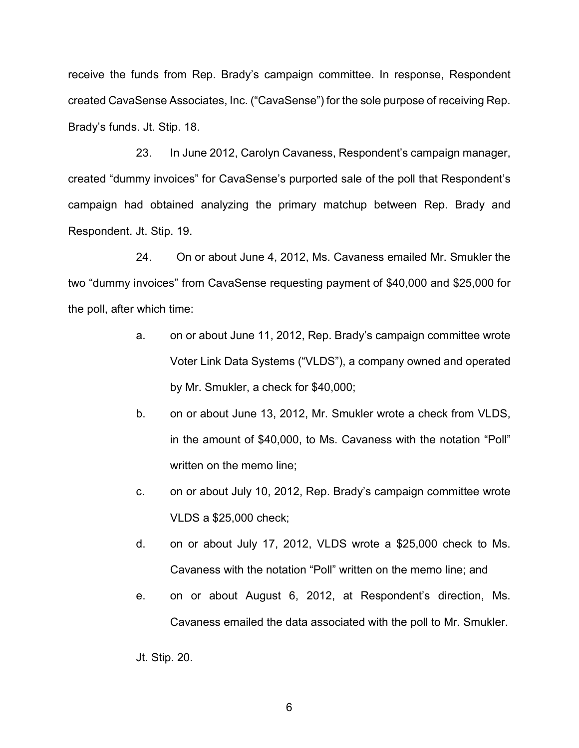receive the funds from Rep. Brady's campaign committee. In response, Respondent created CavaSense Associates, Inc. ("CavaSense") for the sole purpose of receiving Rep. Brady's funds. Jt. Stip. 18.

23. In June 2012, Carolyn Cavaness, Respondent's campaign manager, created "dummy invoices" for CavaSense's purported sale of the poll that Respondent's campaign had obtained analyzing the primary matchup between Rep. Brady and Respondent. Jt. Stip. 19.

24. On or about June 4, 2012, Ms. Cavaness emailed Mr. Smukler the two "dummy invoices" from CavaSense requesting payment of \$40,000 and \$25,000 for the poll, after which time:

- a. on or about June 11, 2012, Rep. Brady's campaign committee wrote Voter Link Data Systems ("VLDS"), a company owned and operated by Mr. Smukler, a check for \$40,000;
- b. on or about June 13, 2012, Mr. Smukler wrote a check from VLDS, in the amount of \$40,000, to Ms. Cavaness with the notation "Poll" written on the memo line;
- c. on or about July 10, 2012, Rep. Brady's campaign committee wrote VLDS a \$25,000 check;
- d. on or about July 17, 2012, VLDS wrote a \$25,000 check to Ms. Cavaness with the notation "Poll" written on the memo line; and
- e. on or about August 6, 2012, at Respondent's direction, Ms. Cavaness emailed the data associated with the poll to Mr. Smukler.

Jt. Stip. 20.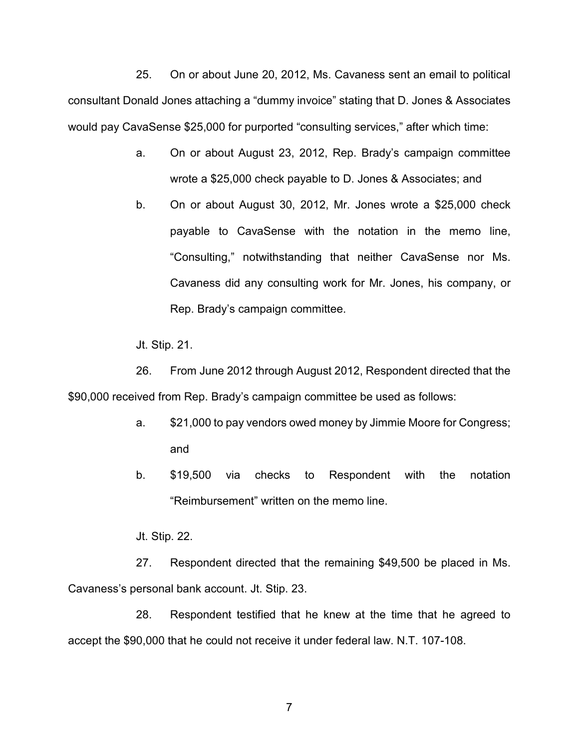25. On or about June 20, 2012, Ms. Cavaness sent an email to political consultant Donald Jones attaching a "dummy invoice" stating that D. Jones & Associates would pay CavaSense \$25,000 for purported "consulting services," after which time:

- a. On or about August 23, 2012, Rep. Brady's campaign committee wrote a \$25,000 check payable to D. Jones & Associates; and
- b. On or about August 30, 2012, Mr. Jones wrote a \$25,000 check payable to CavaSense with the notation in the memo line, "Consulting," notwithstanding that neither CavaSense nor Ms. Cavaness did any consulting work for Mr. Jones, his company, or Rep. Brady's campaign committee.

Jt. Stip. 21.

26. From June 2012 through August 2012, Respondent directed that the \$90,000 received from Rep. Brady's campaign committee be used as follows:

- a. \$21,000 to pay vendors owed money by Jimmie Moore for Congress; and
- b. \$19,500 via checks to Respondent with the notation "Reimbursement" written on the memo line.

Jt. Stip. 22.

27. Respondent directed that the remaining \$49,500 be placed in Ms. Cavaness's personal bank account. Jt. Stip. 23.

28. Respondent testified that he knew at the time that he agreed to accept the \$90,000 that he could not receive it under federal law. N.T. 107-108.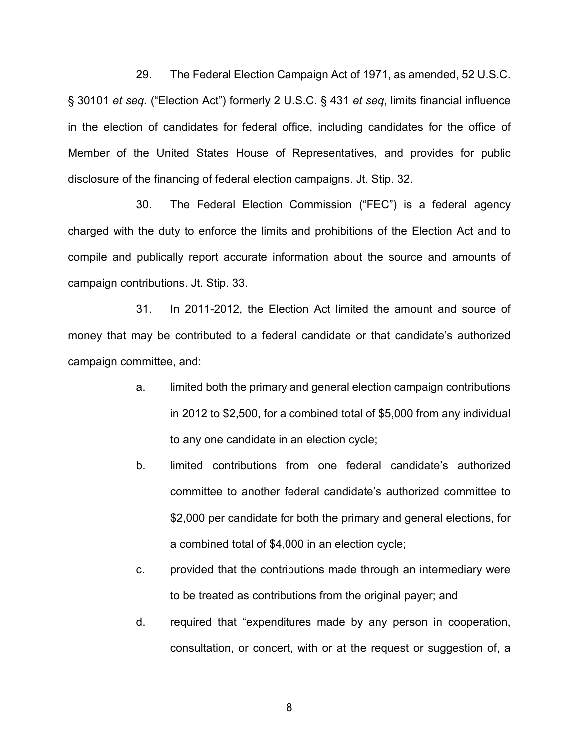29. The Federal Election Campaign Act of 1971, as amended, 52 U.S.C. § 30101 *et seq.* ("Election Act") formerly 2 U.S.C. § 431 *et seq*, limits financial influence in the election of candidates for federal office, including candidates for the office of Member of the United States House of Representatives, and provides for public disclosure of the financing of federal election campaigns. Jt. Stip. 32.

30. The Federal Election Commission ("FEC") is a federal agency charged with the duty to enforce the limits and prohibitions of the Election Act and to compile and publically report accurate information about the source and amounts of campaign contributions. Jt. Stip. 33.

31. In 2011-2012, the Election Act limited the amount and source of money that may be contributed to a federal candidate or that candidate's authorized campaign committee, and:

- a. limited both the primary and general election campaign contributions in 2012 to \$2,500, for a combined total of \$5,000 from any individual to any one candidate in an election cycle;
- b. limited contributions from one federal candidate's authorized committee to another federal candidate's authorized committee to \$2,000 per candidate for both the primary and general elections, for a combined total of \$4,000 in an election cycle;
- c. provided that the contributions made through an intermediary were to be treated as contributions from the original payer; and
- d. required that "expenditures made by any person in cooperation, consultation, or concert, with or at the request or suggestion of, a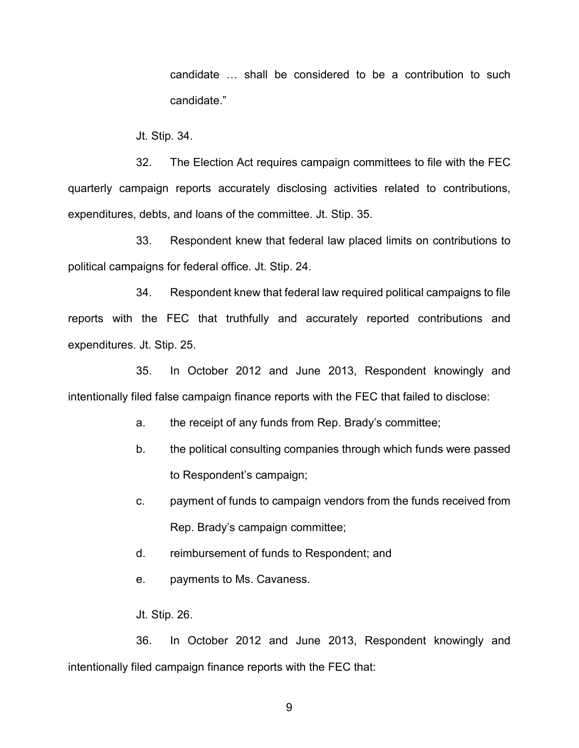candidate … shall be considered to be a contribution to such candidate."

Jt. Stip. 34.

32. The Election Act requires campaign committees to file with the FEC quarterly campaign reports accurately disclosing activities related to contributions, expenditures, debts, and loans of the committee. Jt. Stip. 35.

33. Respondent knew that federal law placed limits on contributions to political campaigns for federal office. Jt. Stip. 24.

34. Respondent knew that federal law required political campaigns to file reports with the FEC that truthfully and accurately reported contributions and expenditures. Jt. Stip. 25.

35. In October 2012 and June 2013, Respondent knowingly and intentionally filed false campaign finance reports with the FEC that failed to disclose:

a. the receipt of any funds from Rep. Brady's committee;

- b. the political consulting companies through which funds were passed to Respondent's campaign;
- c. payment of funds to campaign vendors from the funds received from Rep. Brady's campaign committee;
- d. reimbursement of funds to Respondent; and
- e. payments to Ms. Cavaness.

Jt. Stip. 26.

36. In October 2012 and June 2013, Respondent knowingly and intentionally filed campaign finance reports with the FEC that: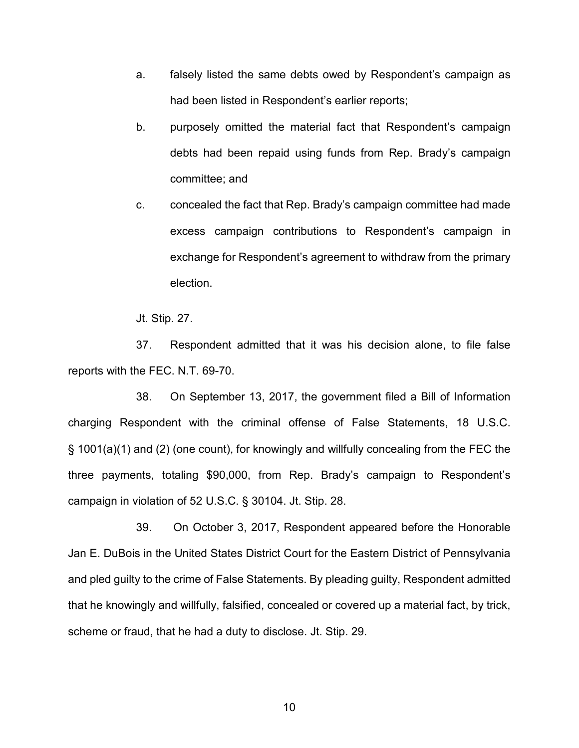- a. falsely listed the same debts owed by Respondent's campaign as had been listed in Respondent's earlier reports;
- b. purposely omitted the material fact that Respondent's campaign debts had been repaid using funds from Rep. Brady's campaign committee; and
- c. concealed the fact that Rep. Brady's campaign committee had made excess campaign contributions to Respondent's campaign in exchange for Respondent's agreement to withdraw from the primary election.

Jt. Stip. 27.

37. Respondent admitted that it was his decision alone, to file false reports with the FEC. N.T. 69-70.

38. On September 13, 2017, the government filed a Bill of Information charging Respondent with the criminal offense of False Statements, 18 U.S.C. § 1001(a)(1) and (2) (one count), for knowingly and willfully concealing from the FEC the three payments, totaling \$90,000, from Rep. Brady's campaign to Respondent's campaign in violation of 52 U.S.C. § 30104. Jt. Stip. 28.

39. On October 3, 2017, Respondent appeared before the Honorable Jan E. DuBois in the United States District Court for the Eastern District of Pennsylvania and pled guilty to the crime of False Statements. By pleading guilty, Respondent admitted that he knowingly and willfully, falsified, concealed or covered up a material fact, by trick, scheme or fraud, that he had a duty to disclose. Jt. Stip. 29.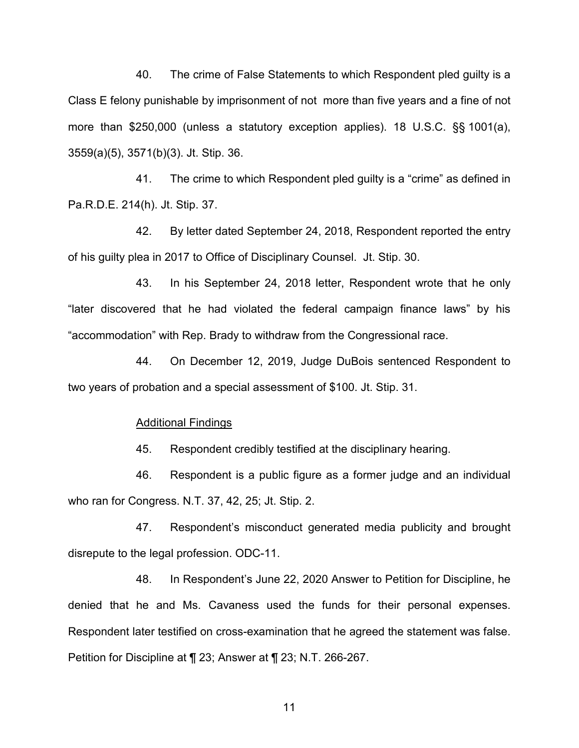40. The crime of False Statements to which Respondent pled guilty is a Class E felony punishable by imprisonment of not more than five years and a fine of not more than \$250,000 (unless a statutory exception applies). 18 U.S.C. §§ 1001(a), 3559(a)(5), 3571(b)(3). Jt. Stip. 36.

41. The crime to which Respondent pled guilty is a "crime" as defined in Pa.R.D.E. 214(h). Jt. Stip. 37.

42. By letter dated September 24, 2018, Respondent reported the entry of his guilty plea in 2017 to Office of Disciplinary Counsel. Jt. Stip. 30.

43. In his September 24, 2018 letter, Respondent wrote that he only "later discovered that he had violated the federal campaign finance laws" by his "accommodation" with Rep. Brady to withdraw from the Congressional race.

44. On December 12, 2019, Judge DuBois sentenced Respondent to two years of probation and a special assessment of \$100. Jt. Stip. 31.

#### Additional Findings

45. Respondent credibly testified at the disciplinary hearing.

46. Respondent is a public figure as a former judge and an individual who ran for Congress. N.T. 37, 42, 25; Jt. Stip. 2.

47. Respondent's misconduct generated media publicity and brought disrepute to the legal profession. ODC-11.

48. In Respondent's June 22, 2020 Answer to Petition for Discipline, he denied that he and Ms. Cavaness used the funds for their personal expenses. Respondent later testified on cross-examination that he agreed the statement was false. Petition for Discipline at ¶ 23; Answer at ¶ 23; N.T. 266-267.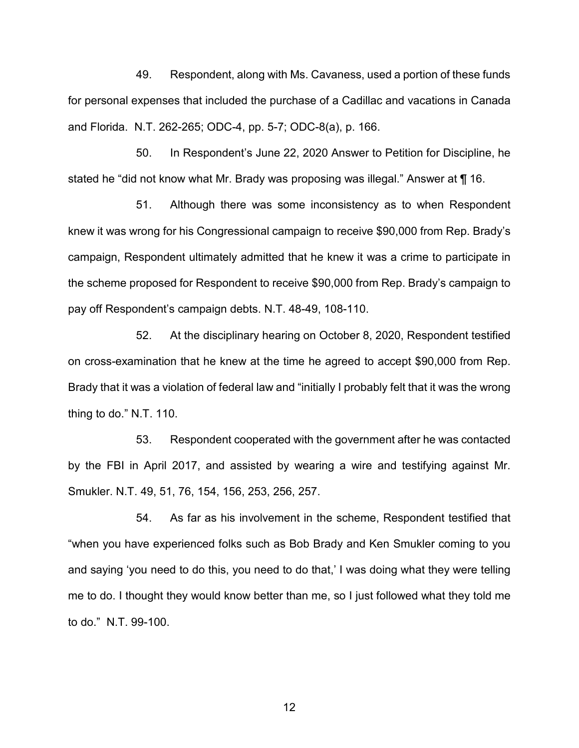49. Respondent, along with Ms. Cavaness, used a portion of these funds for personal expenses that included the purchase of a Cadillac and vacations in Canada and Florida. N.T. 262-265; ODC-4, pp. 5-7; ODC-8(a), p. 166.

50. In Respondent's June 22, 2020 Answer to Petition for Discipline, he stated he "did not know what Mr. Brady was proposing was illegal." Answer at ¶ 16.

51. Although there was some inconsistency as to when Respondent knew it was wrong for his Congressional campaign to receive \$90,000 from Rep. Brady's campaign, Respondent ultimately admitted that he knew it was a crime to participate in the scheme proposed for Respondent to receive \$90,000 from Rep. Brady's campaign to pay off Respondent's campaign debts. N.T. 48-49, 108-110.

52. At the disciplinary hearing on October 8, 2020, Respondent testified on cross-examination that he knew at the time he agreed to accept \$90,000 from Rep. Brady that it was a violation of federal law and "initially I probably felt that it was the wrong thing to do." N.T. 110.

53. Respondent cooperated with the government after he was contacted by the FBI in April 2017, and assisted by wearing a wire and testifying against Mr. Smukler. N.T. 49, 51, 76, 154, 156, 253, 256, 257.

54. As far as his involvement in the scheme, Respondent testified that "when you have experienced folks such as Bob Brady and Ken Smukler coming to you and saying 'you need to do this, you need to do that,' I was doing what they were telling me to do. I thought they would know better than me, so I just followed what they told me to do." N.T. 99-100.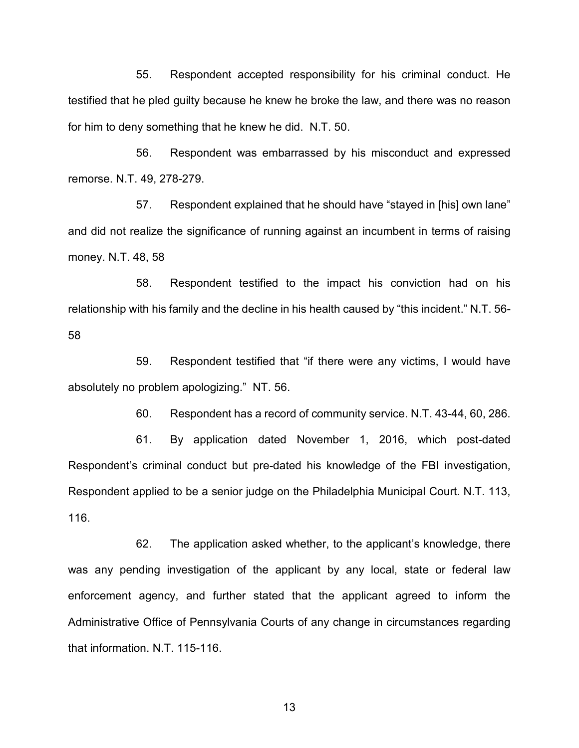55. Respondent accepted responsibility for his criminal conduct. He testified that he pled guilty because he knew he broke the law, and there was no reason for him to deny something that he knew he did. N.T. 50.

56. Respondent was embarrassed by his misconduct and expressed remorse. N.T. 49, 278-279.

57. Respondent explained that he should have "stayed in [his] own lane" and did not realize the significance of running against an incumbent in terms of raising money. N.T. 48, 58

58. Respondent testified to the impact his conviction had on his relationship with his family and the decline in his health caused by "this incident." N.T. 56- 58

59. Respondent testified that "if there were any victims, I would have absolutely no problem apologizing." NT. 56.

60. Respondent has a record of community service. N.T. 43-44, 60, 286.

61. By application dated November 1, 2016, which post-dated Respondent's criminal conduct but pre-dated his knowledge of the FBI investigation, Respondent applied to be a senior judge on the Philadelphia Municipal Court. N.T. 113, 116.

62. The application asked whether, to the applicant's knowledge, there was any pending investigation of the applicant by any local, state or federal law enforcement agency, and further stated that the applicant agreed to inform the Administrative Office of Pennsylvania Courts of any change in circumstances regarding that information. N.T. 115-116.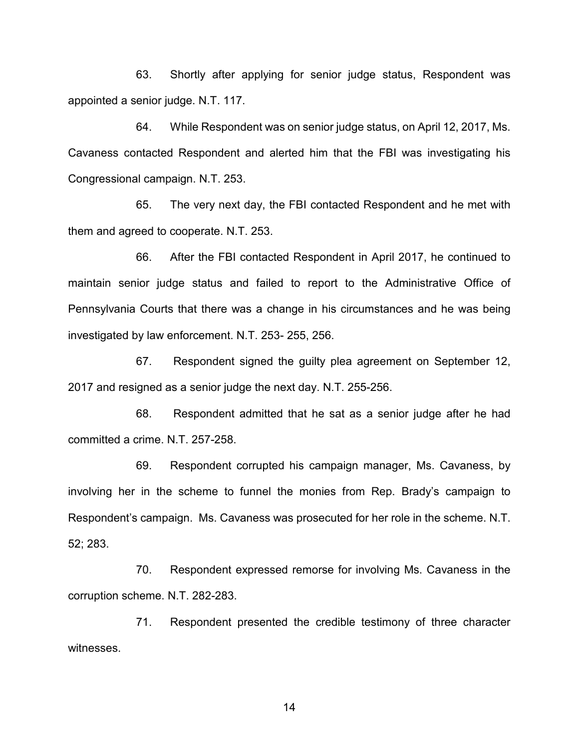63. Shortly after applying for senior judge status, Respondent was appointed a senior judge. N.T. 117.

64. While Respondent was on senior judge status, on April 12, 2017, Ms. Cavaness contacted Respondent and alerted him that the FBI was investigating his Congressional campaign. N.T. 253.

65. The very next day, the FBI contacted Respondent and he met with them and agreed to cooperate. N.T. 253.

66. After the FBI contacted Respondent in April 2017, he continued to maintain senior judge status and failed to report to the Administrative Office of Pennsylvania Courts that there was a change in his circumstances and he was being investigated by law enforcement. N.T. 253- 255, 256.

67. Respondent signed the guilty plea agreement on September 12, 2017 and resigned as a senior judge the next day. N.T. 255-256.

68. Respondent admitted that he sat as a senior judge after he had committed a crime. N.T. 257-258.

69. Respondent corrupted his campaign manager, Ms. Cavaness, by involving her in the scheme to funnel the monies from Rep. Brady's campaign to Respondent's campaign. Ms. Cavaness was prosecuted for her role in the scheme. N.T. 52; 283.

70. Respondent expressed remorse for involving Ms. Cavaness in the corruption scheme. N.T. 282-283.

71. Respondent presented the credible testimony of three character witnesses.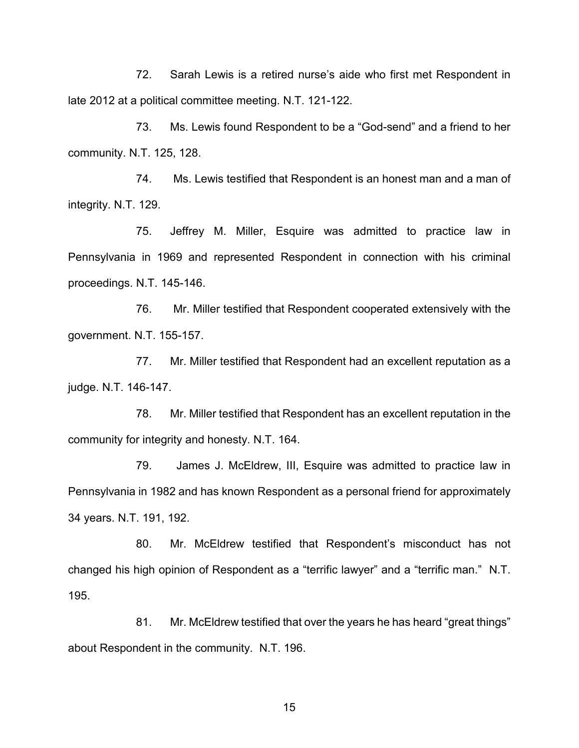72. Sarah Lewis is a retired nurse's aide who first met Respondent in late 2012 at a political committee meeting. N.T. 121-122.

73. Ms. Lewis found Respondent to be a "God-send" and a friend to her community. N.T. 125, 128.

74. Ms. Lewis testified that Respondent is an honest man and a man of integrity. N.T. 129.

75. Jeffrey M. Miller, Esquire was admitted to practice law in Pennsylvania in 1969 and represented Respondent in connection with his criminal proceedings. N.T. 145-146.

76. Mr. Miller testified that Respondent cooperated extensively with the government. N.T. 155-157.

77. Mr. Miller testified that Respondent had an excellent reputation as a judge. N.T. 146-147.

78. Mr. Miller testified that Respondent has an excellent reputation in the community for integrity and honesty. N.T. 164.

79. James J. McEldrew, III, Esquire was admitted to practice law in Pennsylvania in 1982 and has known Respondent as a personal friend for approximately 34 years. N.T. 191, 192.

80. Mr. McEldrew testified that Respondent's misconduct has not changed his high opinion of Respondent as a "terrific lawyer" and a "terrific man." N.T. 195.

81. Mr. McEldrew testified that over the years he has heard "great things" about Respondent in the community. N.T. 196.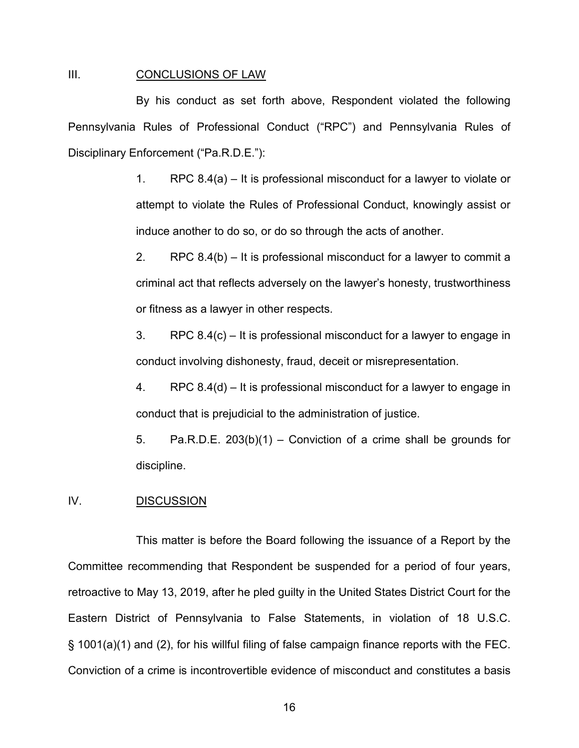#### III. CONCLUSIONS OF LAW

By his conduct as set forth above, Respondent violated the following Pennsylvania Rules of Professional Conduct ("RPC") and Pennsylvania Rules of Disciplinary Enforcement ("Pa.R.D.E."):

> 1. RPC 8.4(a) – It is professional misconduct for a lawyer to violate or attempt to violate the Rules of Professional Conduct, knowingly assist or induce another to do so, or do so through the acts of another.

> 2. RPC 8.4(b) – It is professional misconduct for a lawyer to commit a criminal act that reflects adversely on the lawyer's honesty, trustworthiness or fitness as a lawyer in other respects.

> 3. RPC 8.4(c) – It is professional misconduct for a lawyer to engage in conduct involving dishonesty, fraud, deceit or misrepresentation.

> 4. RPC 8.4(d) – It is professional misconduct for a lawyer to engage in conduct that is prejudicial to the administration of justice.

> 5. Pa.R.D.E. 203(b)(1) – Conviction of a crime shall be grounds for discipline.

## IV. DISCUSSION

This matter is before the Board following the issuance of a Report by the Committee recommending that Respondent be suspended for a period of four years, retroactive to May 13, 2019, after he pled guilty in the United States District Court for the Eastern District of Pennsylvania to False Statements, in violation of 18 U.S.C. § 1001(a)(1) and (2), for his willful filing of false campaign finance reports with the FEC. Conviction of a crime is incontrovertible evidence of misconduct and constitutes a basis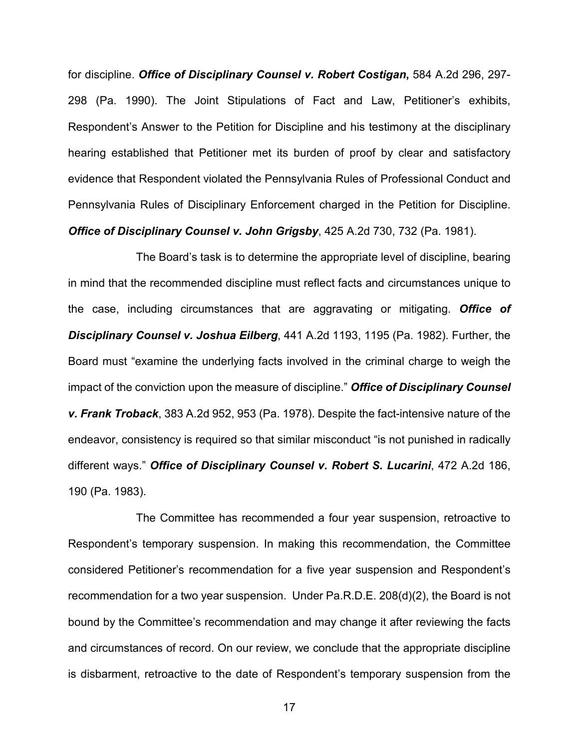for discipline. *Office of Disciplinary Counsel v. Robert Costigan***,** 584 A.2d 296, 297- 298 (Pa. 1990). The Joint Stipulations of Fact and Law, Petitioner's exhibits, Respondent's Answer to the Petition for Discipline and his testimony at the disciplinary hearing established that Petitioner met its burden of proof by clear and satisfactory evidence that Respondent violated the Pennsylvania Rules of Professional Conduct and Pennsylvania Rules of Disciplinary Enforcement charged in the Petition for Discipline. *Office of Disciplinary Counsel v. John Grigsby*, 425 A.2d 730, 732 (Pa. 1981).

The Board's task is to determine the appropriate level of discipline, bearing in mind that the recommended discipline must reflect facts and circumstances unique to the case, including circumstances that are aggravating or mitigating. *Office of Disciplinary Counsel v. Joshua Eilberg*, 441 A.2d 1193, 1195 (Pa. 1982). Further, the Board must "examine the underlying facts involved in the criminal charge to weigh the impact of the conviction upon the measure of discipline." *Office of Disciplinary Counsel v. Frank Troback*, 383 A.2d 952, 953 (Pa. 1978). Despite the fact-intensive nature of the endeavor, consistency is required so that similar misconduct "is not punished in radically different ways." *Office of Disciplinary Counsel v. Robert S. Lucarini*, 472 A.2d 186, 190 (Pa. 1983).

The Committee has recommended a four year suspension, retroactive to Respondent's temporary suspension. In making this recommendation, the Committee considered Petitioner's recommendation for a five year suspension and Respondent's recommendation for a two year suspension. Under Pa.R.D.E. 208(d)(2), the Board is not bound by the Committee's recommendation and may change it after reviewing the facts and circumstances of record. On our review, we conclude that the appropriate discipline is disbarment, retroactive to the date of Respondent's temporary suspension from the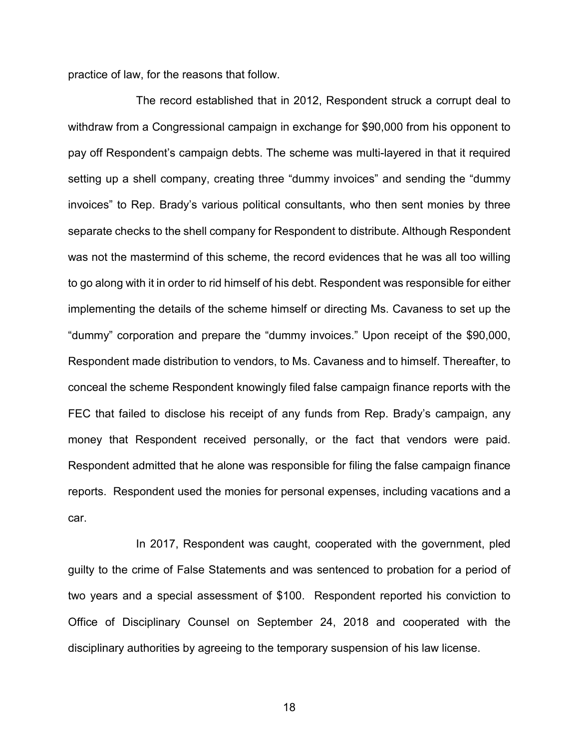practice of law, for the reasons that follow.

The record established that in 2012, Respondent struck a corrupt deal to withdraw from a Congressional campaign in exchange for \$90,000 from his opponent to pay off Respondent's campaign debts. The scheme was multi-layered in that it required setting up a shell company, creating three "dummy invoices" and sending the "dummy invoices" to Rep. Brady's various political consultants, who then sent monies by three separate checks to the shell company for Respondent to distribute. Although Respondent was not the mastermind of this scheme, the record evidences that he was all too willing to go along with it in order to rid himself of his debt. Respondent was responsible for either implementing the details of the scheme himself or directing Ms. Cavaness to set up the "dummy" corporation and prepare the "dummy invoices." Upon receipt of the \$90,000, Respondent made distribution to vendors, to Ms. Cavaness and to himself. Thereafter, to conceal the scheme Respondent knowingly filed false campaign finance reports with the FEC that failed to disclose his receipt of any funds from Rep. Brady's campaign, any money that Respondent received personally, or the fact that vendors were paid. Respondent admitted that he alone was responsible for filing the false campaign finance reports. Respondent used the monies for personal expenses, including vacations and a car.

In 2017, Respondent was caught, cooperated with the government, pled guilty to the crime of False Statements and was sentenced to probation for a period of two years and a special assessment of \$100. Respondent reported his conviction to Office of Disciplinary Counsel on September 24, 2018 and cooperated with the disciplinary authorities by agreeing to the temporary suspension of his law license.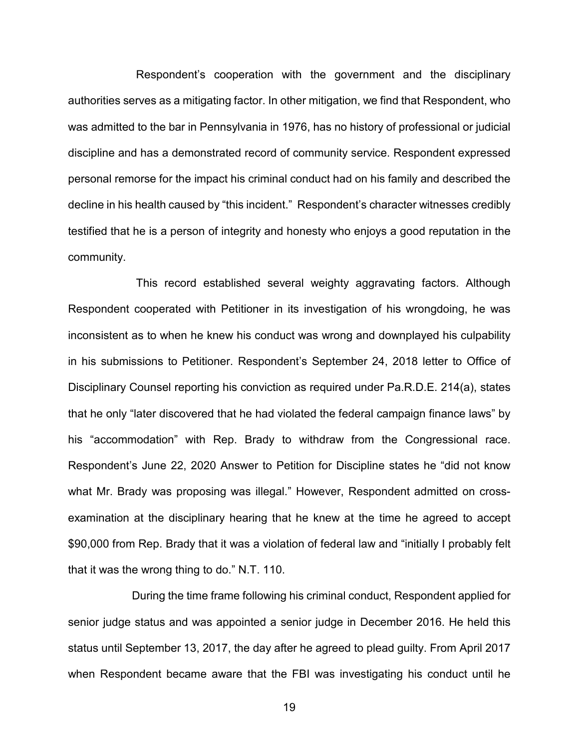Respondent's cooperation with the government and the disciplinary authorities serves as a mitigating factor. In other mitigation, we find that Respondent, who was admitted to the bar in Pennsylvania in 1976, has no history of professional or judicial discipline and has a demonstrated record of community service. Respondent expressed personal remorse for the impact his criminal conduct had on his family and described the decline in his health caused by "this incident." Respondent's character witnesses credibly testified that he is a person of integrity and honesty who enjoys a good reputation in the community.

This record established several weighty aggravating factors. Although Respondent cooperated with Petitioner in its investigation of his wrongdoing, he was inconsistent as to when he knew his conduct was wrong and downplayed his culpability in his submissions to Petitioner. Respondent's September 24, 2018 letter to Office of Disciplinary Counsel reporting his conviction as required under Pa.R.D.E. 214(a), states that he only "later discovered that he had violated the federal campaign finance laws" by his "accommodation" with Rep. Brady to withdraw from the Congressional race. Respondent's June 22, 2020 Answer to Petition for Discipline states he "did not know what Mr. Brady was proposing was illegal." However, Respondent admitted on crossexamination at the disciplinary hearing that he knew at the time he agreed to accept \$90,000 from Rep. Brady that it was a violation of federal law and "initially I probably felt that it was the wrong thing to do." N.T. 110.

During the time frame following his criminal conduct, Respondent applied for senior judge status and was appointed a senior judge in December 2016. He held this status until September 13, 2017, the day after he agreed to plead guilty. From April 2017 when Respondent became aware that the FBI was investigating his conduct until he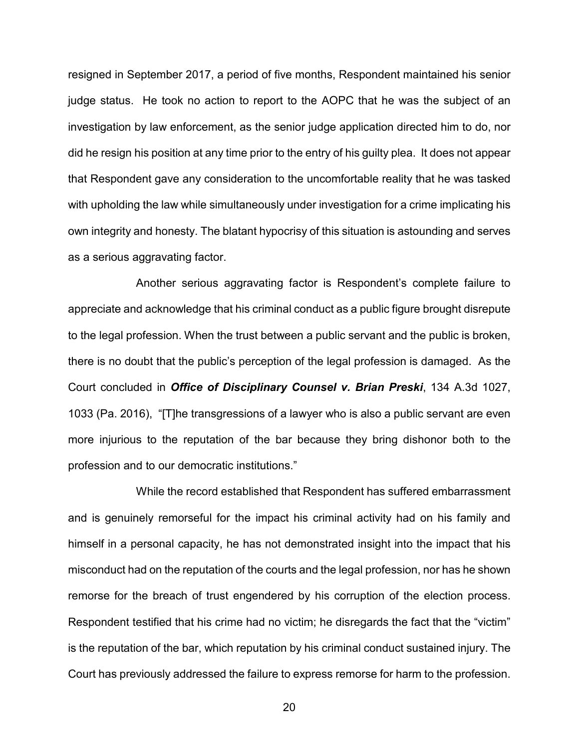resigned in September 2017, a period of five months, Respondent maintained his senior judge status. He took no action to report to the AOPC that he was the subject of an investigation by law enforcement, as the senior judge application directed him to do, nor did he resign his position at any time prior to the entry of his guilty plea. It does not appear that Respondent gave any consideration to the uncomfortable reality that he was tasked with upholding the law while simultaneously under investigation for a crime implicating his own integrity and honesty. The blatant hypocrisy of this situation is astounding and serves as a serious aggravating factor.

Another serious aggravating factor is Respondent's complete failure to appreciate and acknowledge that his criminal conduct as a public figure brought disrepute to the legal profession. When the trust between a public servant and the public is broken, there is no doubt that the public's perception of the legal profession is damaged. As the Court concluded in *Office of Disciplinary Counsel v. Brian Preski*, 134 A.3d 1027, 1033 (Pa. 2016), "[T]he transgressions of a lawyer who is also a public servant are even more injurious to the reputation of the bar because they bring dishonor both to the profession and to our democratic institutions."

While the record established that Respondent has suffered embarrassment and is genuinely remorseful for the impact his criminal activity had on his family and himself in a personal capacity, he has not demonstrated insight into the impact that his misconduct had on the reputation of the courts and the legal profession, nor has he shown remorse for the breach of trust engendered by his corruption of the election process. Respondent testified that his crime had no victim; he disregards the fact that the "victim" is the reputation of the bar, which reputation by his criminal conduct sustained injury. The Court has previously addressed the failure to express remorse for harm to the profession.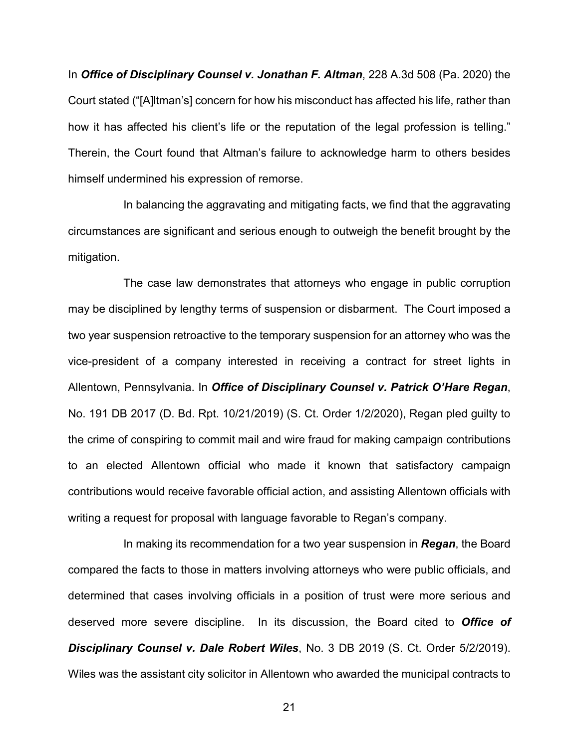In *Office of Disciplinary Counsel v. Jonathan F. Altman*, 228 A.3d 508 (Pa. 2020) the Court stated ("[A]ltman's] concern for how his misconduct has affected his life, rather than how it has affected his client's life or the reputation of the legal profession is telling." Therein, the Court found that Altman's failure to acknowledge harm to others besides himself undermined his expression of remorse.

In balancing the aggravating and mitigating facts, we find that the aggravating circumstances are significant and serious enough to outweigh the benefit brought by the mitigation.

The case law demonstrates that attorneys who engage in public corruption may be disciplined by lengthy terms of suspension or disbarment. The Court imposed a two year suspension retroactive to the temporary suspension for an attorney who was the vice-president of a company interested in receiving a contract for street lights in Allentown, Pennsylvania. In *Office of Disciplinary Counsel v. Patrick O'Hare Regan*, No. 191 DB 2017 (D. Bd. Rpt. 10/21/2019) (S. Ct. Order 1/2/2020), Regan pled guilty to the crime of conspiring to commit mail and wire fraud for making campaign contributions to an elected Allentown official who made it known that satisfactory campaign contributions would receive favorable official action, and assisting Allentown officials with writing a request for proposal with language favorable to Regan's company.

In making its recommendation for a two year suspension in *Regan*, the Board compared the facts to those in matters involving attorneys who were public officials, and determined that cases involving officials in a position of trust were more serious and deserved more severe discipline. In its discussion, the Board cited to *Office of Disciplinary Counsel v. Dale Robert Wiles*, No. 3 DB 2019 (S. Ct. Order 5/2/2019). Wiles was the assistant city solicitor in Allentown who awarded the municipal contracts to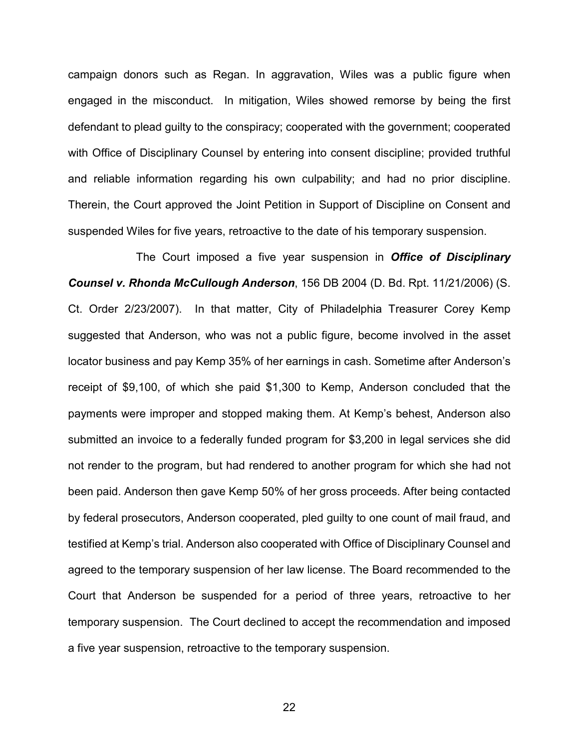campaign donors such as Regan. In aggravation, Wiles was a public figure when engaged in the misconduct. In mitigation, Wiles showed remorse by being the first defendant to plead guilty to the conspiracy; cooperated with the government; cooperated with Office of Disciplinary Counsel by entering into consent discipline; provided truthful and reliable information regarding his own culpability; and had no prior discipline. Therein, the Court approved the Joint Petition in Support of Discipline on Consent and suspended Wiles for five years, retroactive to the date of his temporary suspension.

The Court imposed a five year suspension in *Office of Disciplinary Counsel v. Rhonda McCullough Anderson*, 156 DB 2004 (D. Bd. Rpt. 11/21/2006) (S. Ct. Order 2/23/2007). In that matter, City of Philadelphia Treasurer Corey Kemp suggested that Anderson, who was not a public figure, become involved in the asset locator business and pay Kemp 35% of her earnings in cash. Sometime after Anderson's receipt of \$9,100, of which she paid \$1,300 to Kemp, Anderson concluded that the payments were improper and stopped making them. At Kemp's behest, Anderson also submitted an invoice to a federally funded program for \$3,200 in legal services she did not render to the program, but had rendered to another program for which she had not been paid. Anderson then gave Kemp 50% of her gross proceeds. After being contacted by federal prosecutors, Anderson cooperated, pled guilty to one count of mail fraud, and testified at Kemp's trial. Anderson also cooperated with Office of Disciplinary Counsel and agreed to the temporary suspension of her law license. The Board recommended to the Court that Anderson be suspended for a period of three years, retroactive to her temporary suspension. The Court declined to accept the recommendation and imposed a five year suspension, retroactive to the temporary suspension.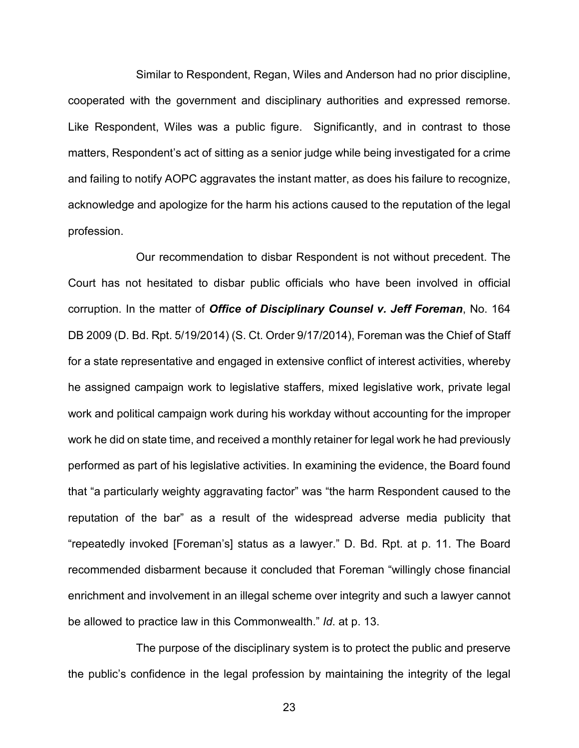Similar to Respondent, Regan, Wiles and Anderson had no prior discipline, cooperated with the government and disciplinary authorities and expressed remorse. Like Respondent, Wiles was a public figure. Significantly, and in contrast to those matters, Respondent's act of sitting as a senior judge while being investigated for a crime and failing to notify AOPC aggravates the instant matter, as does his failure to recognize, acknowledge and apologize for the harm his actions caused to the reputation of the legal profession.

Our recommendation to disbar Respondent is not without precedent. The Court has not hesitated to disbar public officials who have been involved in official corruption. In the matter of *Office of Disciplinary Counsel v. Jeff Foreman*, No. 164 DB 2009 (D. Bd. Rpt. 5/19/2014) (S. Ct. Order 9/17/2014), Foreman was the Chief of Staff for a state representative and engaged in extensive conflict of interest activities, whereby he assigned campaign work to legislative staffers, mixed legislative work, private legal work and political campaign work during his workday without accounting for the improper work he did on state time, and received a monthly retainer for legal work he had previously performed as part of his legislative activities. In examining the evidence, the Board found that "a particularly weighty aggravating factor" was "the harm Respondent caused to the reputation of the bar" as a result of the widespread adverse media publicity that "repeatedly invoked [Foreman's] status as a lawyer." D. Bd. Rpt. at p. 11. The Board recommended disbarment because it concluded that Foreman "willingly chose financial enrichment and involvement in an illegal scheme over integrity and such a lawyer cannot be allowed to practice law in this Commonwealth." *Id*. at p. 13.

The purpose of the disciplinary system is to protect the public and preserve the public's confidence in the legal profession by maintaining the integrity of the legal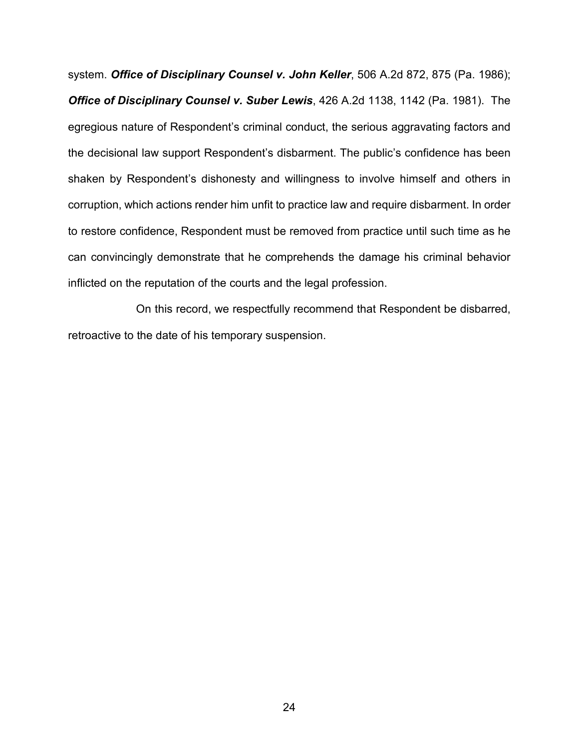system. *Office of Disciplinary Counsel v. John Keller*, 506 A.2d 872, 875 (Pa. 1986); *Office of Disciplinary Counsel v. Suber Lewis*, 426 A.2d 1138, 1142 (Pa. 1981). The egregious nature of Respondent's criminal conduct, the serious aggravating factors and the decisional law support Respondent's disbarment. The public's confidence has been shaken by Respondent's dishonesty and willingness to involve himself and others in corruption, which actions render him unfit to practice law and require disbarment. In order to restore confidence, Respondent must be removed from practice until such time as he can convincingly demonstrate that he comprehends the damage his criminal behavior inflicted on the reputation of the courts and the legal profession.

On this record, we respectfully recommend that Respondent be disbarred, retroactive to the date of his temporary suspension.